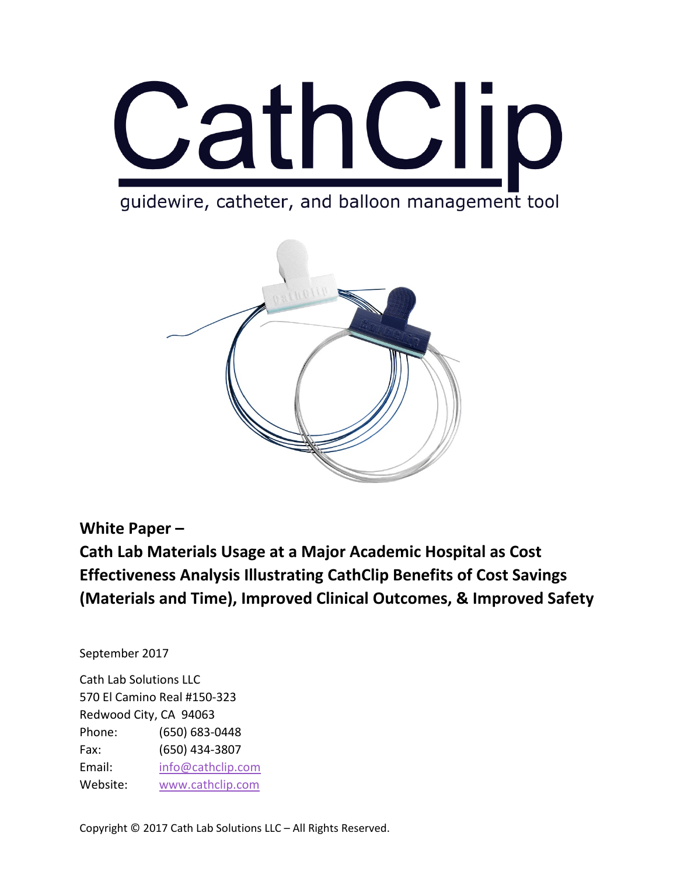

quidewire, catheter, and balloon management tool



#### **White Paper –**

**Cath Lab Materials Usage at a Major Academic Hospital as Cost Effectiveness Analysis Illustrating CathClip Benefits of Cost Savings (Materials and Time), Improved Clinical Outcomes, & Improved Safety**

September 2017

Cath Lab Solutions LLC 570 El Camino Real #150-323 Redwood City, CA 94063 Phone: (650) 683-0448 Fax: (650) 434-3807 Email: [info@cathclip.com](mailto:info@cathclip.com) Website: [www.cathclip.com](http://www.cathclip.com/)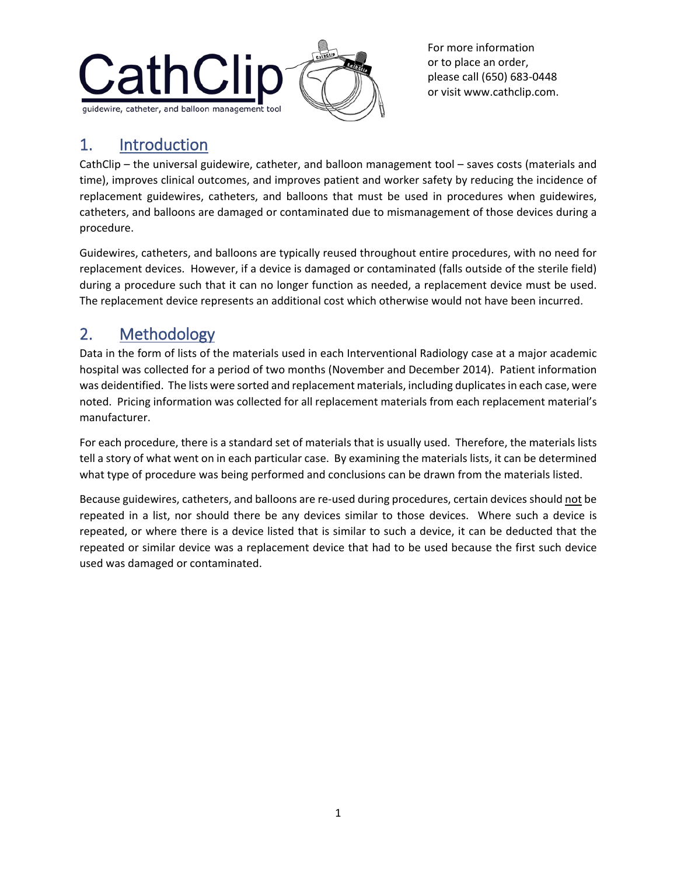

#### 1. Introduction

CathClip – the universal guidewire, catheter, and balloon management tool – saves costs (materials and time), improves clinical outcomes, and improves patient and worker safety by reducing the incidence of replacement guidewires, catheters, and balloons that must be used in procedures when guidewires, catheters, and balloons are damaged or contaminated due to mismanagement of those devices during a procedure.

Guidewires, catheters, and balloons are typically reused throughout entire procedures, with no need for replacement devices. However, if a device is damaged or contaminated (falls outside of the sterile field) during a procedure such that it can no longer function as needed, a replacement device must be used. The replacement device represents an additional cost which otherwise would not have been incurred.

## 2. Methodology

Data in the form of lists of the materials used in each Interventional Radiology case at a major academic hospital was collected for a period of two months (November and December 2014). Patient information was deidentified. The lists were sorted and replacement materials, including duplicates in each case, were noted. Pricing information was collected for all replacement materials from each replacement material's manufacturer.

For each procedure, there is a standard set of materials that is usually used. Therefore, the materials lists tell a story of what went on in each particular case. By examining the materials lists, it can be determined what type of procedure was being performed and conclusions can be drawn from the materials listed.

Because guidewires, catheters, and balloons are re-used during procedures, certain devices should not be repeated in a list, nor should there be any devices similar to those devices. Where such a device is repeated, or where there is a device listed that is similar to such a device, it can be deducted that the repeated or similar device was a replacement device that had to be used because the first such device used was damaged or contaminated.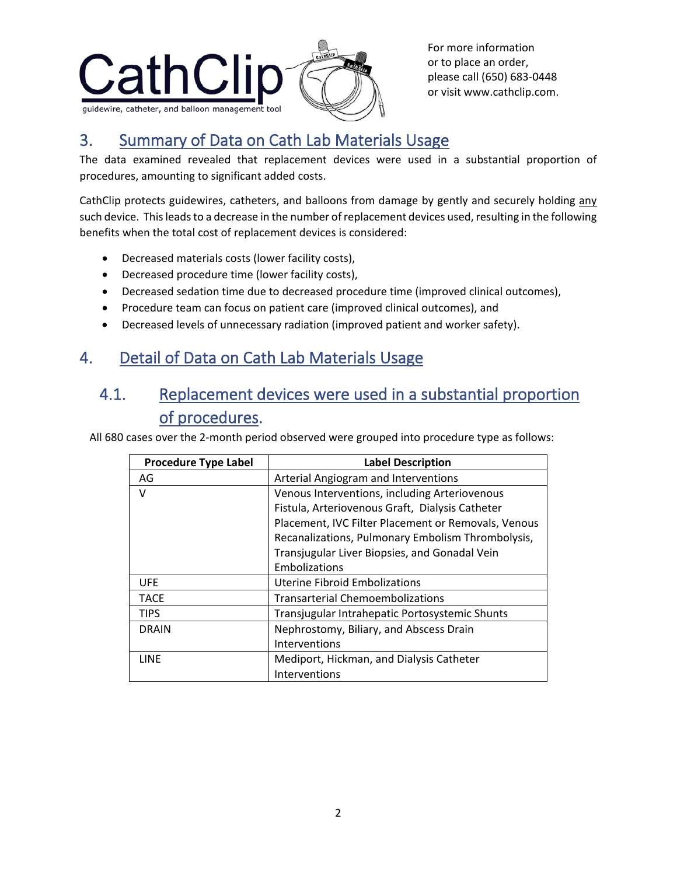

## 3. Summary of Data on Cath Lab Materials Usage

The data examined revealed that replacement devices were used in a substantial proportion of procedures, amounting to significant added costs.

CathClip protects guidewires, catheters, and balloons from damage by gently and securely holding any such device. This leads to a decrease in the number of replacement devices used, resulting in the following benefits when the total cost of replacement devices is considered:

- Decreased materials costs (lower facility costs),
- Decreased procedure time (lower facility costs),
- Decreased sedation time due to decreased procedure time (improved clinical outcomes),
- Procedure team can focus on patient care (improved clinical outcomes), and
- Decreased levels of unnecessary radiation (improved patient and worker safety).

### 4. Detail of Data on Cath Lab Materials Usage

#### 4.1. Replacement devices were used in a substantial proportion of procedures.

All 680 cases over the 2-month period observed were grouped into procedure type as follows:

| <b>Procedure Type Label</b> | <b>Label Description</b>                            |
|-----------------------------|-----------------------------------------------------|
| AG                          | Arterial Angiogram and Interventions                |
| v                           | Venous Interventions, including Arteriovenous       |
|                             | Fistula, Arteriovenous Graft, Dialysis Catheter     |
|                             | Placement, IVC Filter Placement or Removals, Venous |
|                             | Recanalizations, Pulmonary Embolism Thrombolysis,   |
|                             | Transjugular Liver Biopsies, and Gonadal Vein       |
|                             | Embolizations                                       |
| <b>UFE</b>                  | <b>Uterine Fibroid Embolizations</b>                |
| <b>TACE</b>                 | <b>Transarterial Chemoembolizations</b>             |
| <b>TIPS</b>                 | Transjugular Intrahepatic Portosystemic Shunts      |
| DRAIN                       | Nephrostomy, Biliary, and Abscess Drain             |
|                             | Interventions                                       |
| LINE                        | Mediport, Hickman, and Dialysis Catheter            |
|                             | Interventions                                       |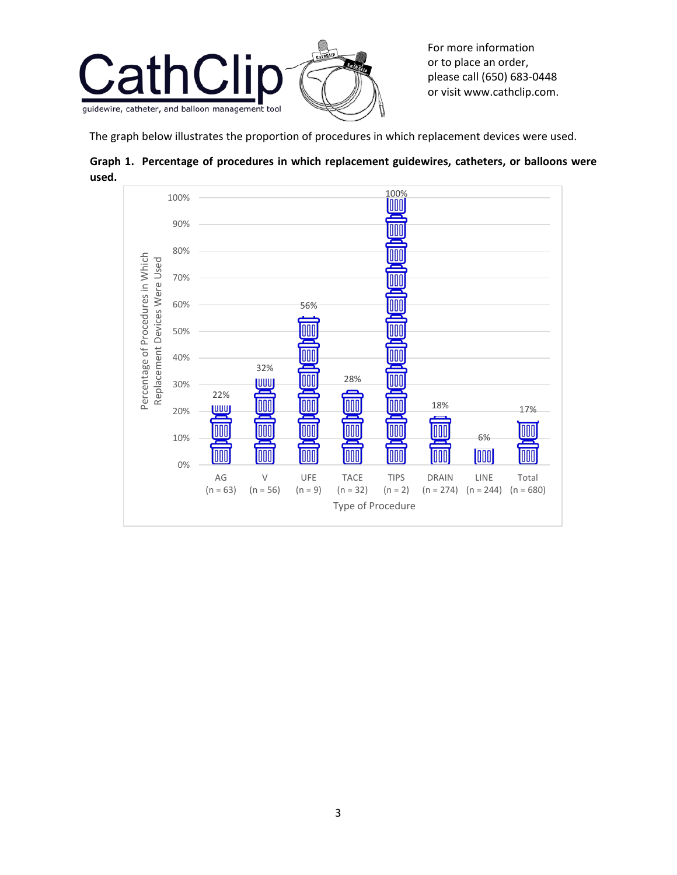

The graph below illustrates the proportion of procedures in which replacement devices were used.



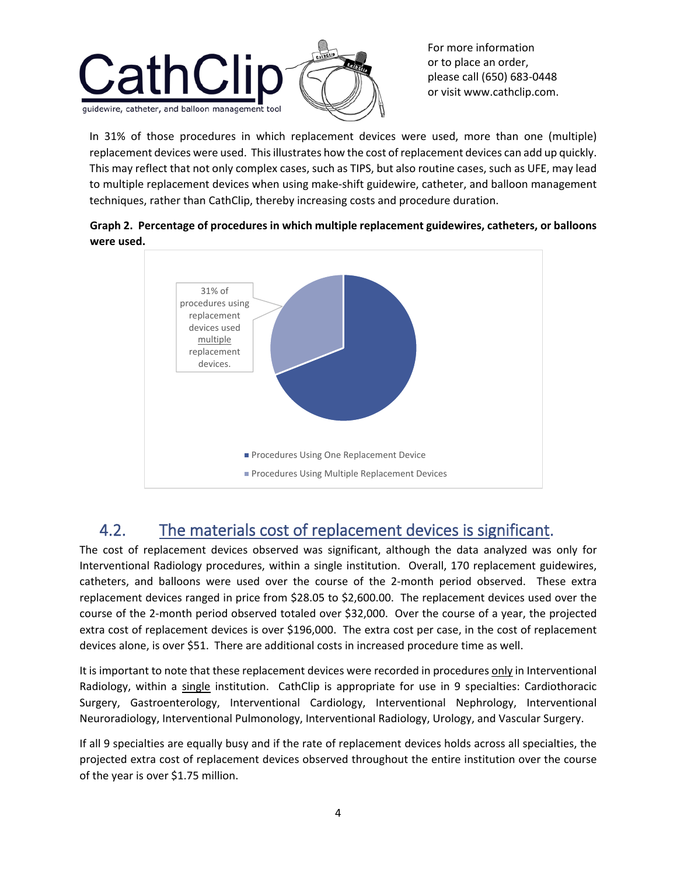

In 31% of those procedures in which replacement devices were used, more than one (multiple) replacement devices were used. This illustrates how the cost of replacement devices can add up quickly. This may reflect that not only complex cases, such as TIPS, but also routine cases, such as UFE, may lead to multiple replacement devices when using make-shift guidewire, catheter, and balloon management techniques, rather than CathClip, thereby increasing costs and procedure duration.





### 4.2. The materials cost of replacement devices is significant.

The cost of replacement devices observed was significant, although the data analyzed was only for Interventional Radiology procedures, within a single institution. Overall, 170 replacement guidewires, catheters, and balloons were used over the course of the 2-month period observed. These extra replacement devices ranged in price from \$28.05 to \$2,600.00. The replacement devices used over the course of the 2-month period observed totaled over \$32,000. Over the course of a year, the projected extra cost of replacement devices is over \$196,000. The extra cost per case, in the cost of replacement devices alone, is over \$51. There are additional costs in increased procedure time as well.

It is important to note that these replacement devices were recorded in procedures only in Interventional Radiology, within a single institution. CathClip is appropriate for use in 9 specialties: Cardiothoracic Surgery, Gastroenterology, Interventional Cardiology, Interventional Nephrology, Interventional Neuroradiology, Interventional Pulmonology, Interventional Radiology, Urology, and Vascular Surgery.

If all 9 specialties are equally busy and if the rate of replacement devices holds across all specialties, the projected extra cost of replacement devices observed throughout the entire institution over the course of the year is over \$1.75 million.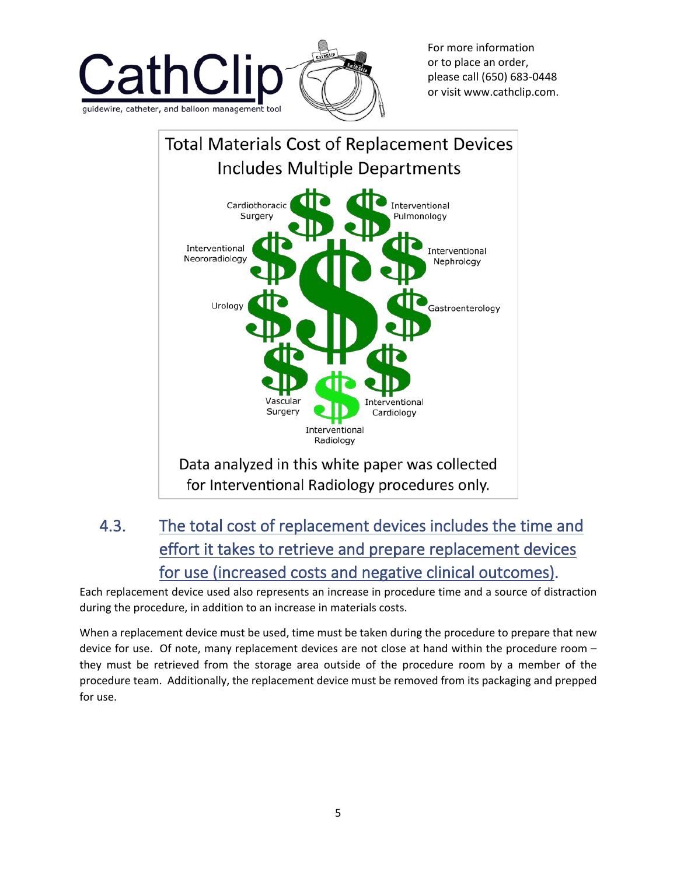



# 4.3. The total cost of replacement devices includes the time and effort it takes to retrieve and prepare replacement devices for use (increased costs and negative clinical outcomes).

Each replacement device used also represents an increase in procedure time and a source of distraction during the procedure, in addition to an increase in materials costs.

When a replacement device must be used, time must be taken during the procedure to prepare that new device for use. Of note, many replacement devices are not close at hand within the procedure room – they must be retrieved from the storage area outside of the procedure room by a member of the procedure team. Additionally, the replacement device must be removed from its packaging and prepped for use.